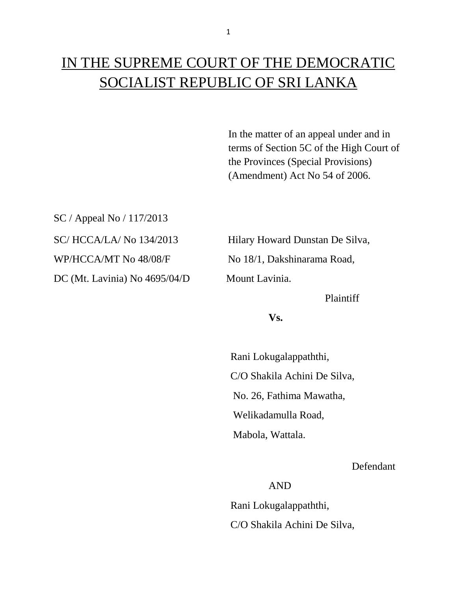In the matter of an appeal under and in terms of Section 5C of the High Court of the Provinces (Special Provisions) (Amendment) Act No 54 of 2006.

SC / Appeal No / 117/2013 DC (Mt. Lavinia) No 4695/04/D Mount Lavinia.

SC/ HCCA/LA/ No 134/2013 Hilary Howard Dunstan De Silva, WP/HCCA/MT No 48/08/F No 18/1, Dakshinarama Road,

Plaintiff

**Vs.**

 Rani Lokugalappaththi, C/O Shakila Achini De Silva, No. 26, Fathima Mawatha, Welikadamulla Road, Mabola, Wattala.

Defendant

AND

 Rani Lokugalappaththi, C/O Shakila Achini De Silva,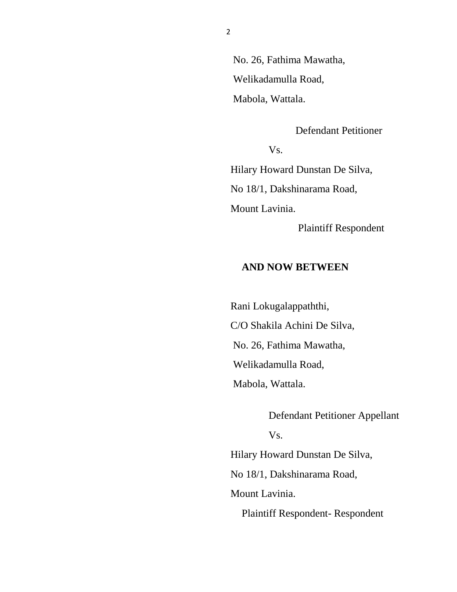No. 26, Fathima Mawatha, Welikadamulla Road, Mabola, Wattala.

Defendant Petitioner

Vs.

 Hilary Howard Dunstan De Silva, No 18/1, Dakshinarama Road, Mount Lavinia.

Plaintiff Respondent

## **AND NOW BETWEEN**

 Rani Lokugalappaththi, C/O Shakila Achini De Silva, No. 26, Fathima Mawatha, Welikadamulla Road, Mabola, Wattala.

Defendant Petitioner Appellant Vs. Hilary Howard Dunstan De Silva, No 18/1, Dakshinarama Road, Mount Lavinia.

Plaintiff Respondent- Respondent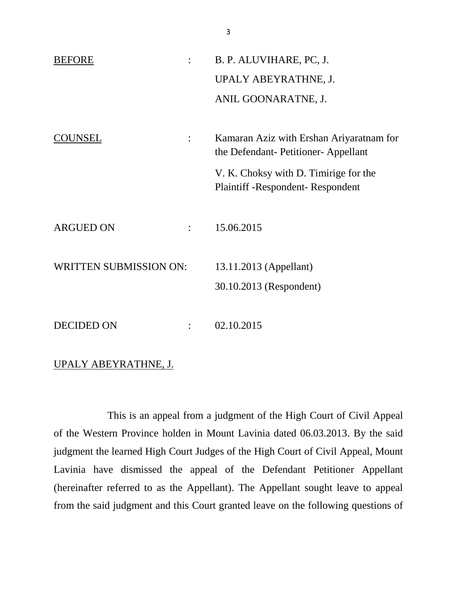| <b>BEFORE</b><br>$\ddot{\cdot}$    | B. P. ALUVIHARE, PC, J.                                                          |
|------------------------------------|----------------------------------------------------------------------------------|
|                                    | UPALY ABEYRATHNE, J.                                                             |
|                                    | ANIL GOONARATNE, J.                                                              |
|                                    |                                                                                  |
| <b>)UNSEL</b>                      | Kamaran Aziz with Ershan Ariyaratnam for<br>the Defendant- Petitioner- Appellant |
|                                    | V. K. Choksy with D. Timirige for the<br><b>Plaintiff-Respondent-Respondent</b>  |
| <b>ARGUED ON</b><br>$\ddot{\cdot}$ | 15.06.2015                                                                       |
| <b>WRITTEN SUBMISSION ON:</b>      | 13.11.2013 (Appellant)                                                           |
|                                    | 30.10.2013 (Respondent)                                                          |
|                                    |                                                                                  |
| <b>DECIDED ON</b>                  | 02.10.2015                                                                       |

## UPALY ABEYRATHNE, J.

This is an appeal from a judgment of the High Court of Civil Appeal of the Western Province holden in Mount Lavinia dated 06.03.2013. By the said judgment the learned High Court Judges of the High Court of Civil Appeal, Mount Lavinia have dismissed the appeal of the Defendant Petitioner Appellant (hereinafter referred to as the Appellant). The Appellant sought leave to appeal from the said judgment and this Court granted leave on the following questions of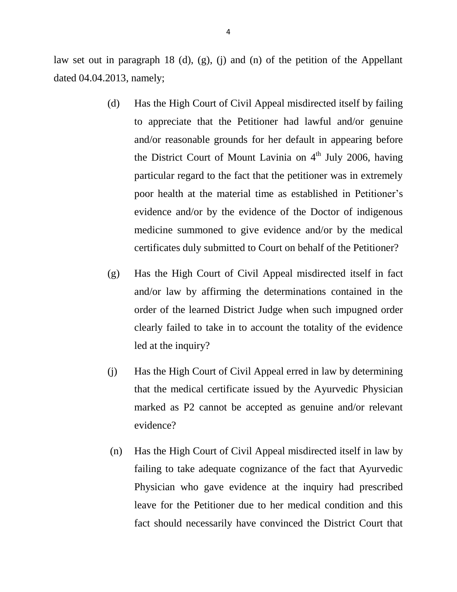law set out in paragraph 18 (d), (g), (j) and (n) of the petition of the Appellant dated 04.04.2013, namely;

- (d) Has the High Court of Civil Appeal misdirected itself by failing to appreciate that the Petitioner had lawful and/or genuine and/or reasonable grounds for her default in appearing before the District Court of Mount Lavinia on  $4<sup>th</sup>$  July 2006, having particular regard to the fact that the petitioner was in extremely poor health at the material time as established in Petitioner's evidence and/or by the evidence of the Doctor of indigenous medicine summoned to give evidence and/or by the medical certificates duly submitted to Court on behalf of the Petitioner?
- (g) Has the High Court of Civil Appeal misdirected itself in fact and/or law by affirming the determinations contained in the order of the learned District Judge when such impugned order clearly failed to take in to account the totality of the evidence led at the inquiry?
- (j) Has the High Court of Civil Appeal erred in law by determining that the medical certificate issued by the Ayurvedic Physician marked as P2 cannot be accepted as genuine and/or relevant evidence?
- (n) Has the High Court of Civil Appeal misdirected itself in law by failing to take adequate cognizance of the fact that Ayurvedic Physician who gave evidence at the inquiry had prescribed leave for the Petitioner due to her medical condition and this fact should necessarily have convinced the District Court that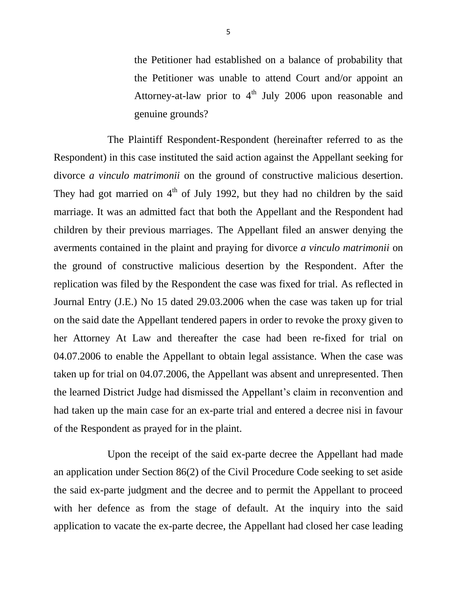the Petitioner had established on a balance of probability that the Petitioner was unable to attend Court and/or appoint an Attorney-at-law prior to  $4<sup>th</sup>$  July 2006 upon reasonable and genuine grounds?

The Plaintiff Respondent-Respondent (hereinafter referred to as the Respondent) in this case instituted the said action against the Appellant seeking for divorce *a vinculo matrimonii* on the ground of constructive malicious desertion. They had got married on  $4<sup>th</sup>$  of July 1992, but they had no children by the said marriage. It was an admitted fact that both the Appellant and the Respondent had children by their previous marriages. The Appellant filed an answer denying the averments contained in the plaint and praying for divorce *a vinculo matrimonii* on the ground of constructive malicious desertion by the Respondent. After the replication was filed by the Respondent the case was fixed for trial. As reflected in Journal Entry (J.E.) No 15 dated 29.03.2006 when the case was taken up for trial on the said date the Appellant tendered papers in order to revoke the proxy given to her Attorney At Law and thereafter the case had been re-fixed for trial on 04.07.2006 to enable the Appellant to obtain legal assistance. When the case was taken up for trial on 04.07.2006, the Appellant was absent and unrepresented. Then the learned District Judge had dismissed the Appellant's claim in reconvention and had taken up the main case for an ex-parte trial and entered a decree nisi in favour of the Respondent as prayed for in the plaint.

Upon the receipt of the said ex-parte decree the Appellant had made an application under Section 86(2) of the Civil Procedure Code seeking to set aside the said ex-parte judgment and the decree and to permit the Appellant to proceed with her defence as from the stage of default. At the inquiry into the said application to vacate the ex-parte decree, the Appellant had closed her case leading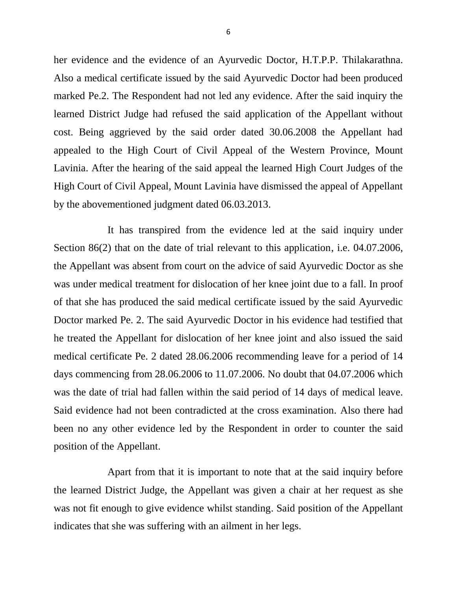her evidence and the evidence of an Ayurvedic Doctor, H.T.P.P. Thilakarathna. Also a medical certificate issued by the said Ayurvedic Doctor had been produced marked Pe.2. The Respondent had not led any evidence. After the said inquiry the learned District Judge had refused the said application of the Appellant without cost. Being aggrieved by the said order dated 30.06.2008 the Appellant had appealed to the High Court of Civil Appeal of the Western Province, Mount Lavinia. After the hearing of the said appeal the learned High Court Judges of the High Court of Civil Appeal, Mount Lavinia have dismissed the appeal of Appellant by the abovementioned judgment dated 06.03.2013.

It has transpired from the evidence led at the said inquiry under Section 86(2) that on the date of trial relevant to this application, i.e. 04.07.2006, the Appellant was absent from court on the advice of said Ayurvedic Doctor as she was under medical treatment for dislocation of her knee joint due to a fall. In proof of that she has produced the said medical certificate issued by the said Ayurvedic Doctor marked Pe. 2. The said Ayurvedic Doctor in his evidence had testified that he treated the Appellant for dislocation of her knee joint and also issued the said medical certificate Pe. 2 dated 28.06.2006 recommending leave for a period of 14 days commencing from 28.06.2006 to 11.07.2006. No doubt that 04.07.2006 which was the date of trial had fallen within the said period of 14 days of medical leave. Said evidence had not been contradicted at the cross examination. Also there had been no any other evidence led by the Respondent in order to counter the said position of the Appellant.

Apart from that it is important to note that at the said inquiry before the learned District Judge, the Appellant was given a chair at her request as she was not fit enough to give evidence whilst standing. Said position of the Appellant indicates that she was suffering with an ailment in her legs.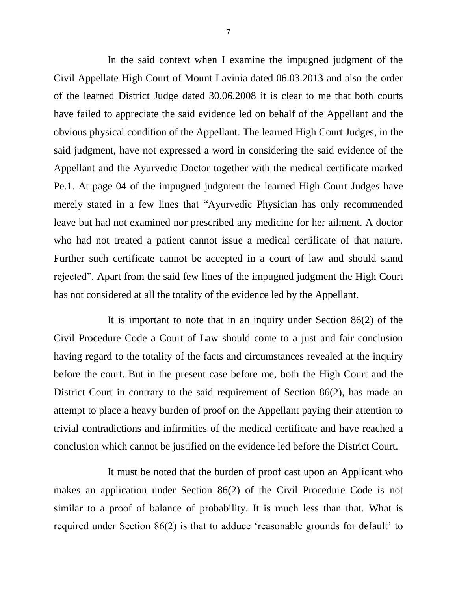In the said context when I examine the impugned judgment of the Civil Appellate High Court of Mount Lavinia dated 06.03.2013 and also the order of the learned District Judge dated 30.06.2008 it is clear to me that both courts have failed to appreciate the said evidence led on behalf of the Appellant and the obvious physical condition of the Appellant. The learned High Court Judges, in the said judgment, have not expressed a word in considering the said evidence of the Appellant and the Ayurvedic Doctor together with the medical certificate marked Pe.1. At page 04 of the impugned judgment the learned High Court Judges have merely stated in a few lines that "Ayurvedic Physician has only recommended leave but had not examined nor prescribed any medicine for her ailment. A doctor who had not treated a patient cannot issue a medical certificate of that nature. Further such certificate cannot be accepted in a court of law and should stand rejected". Apart from the said few lines of the impugned judgment the High Court has not considered at all the totality of the evidence led by the Appellant.

It is important to note that in an inquiry under Section 86(2) of the Civil Procedure Code a Court of Law should come to a just and fair conclusion having regard to the totality of the facts and circumstances revealed at the inquiry before the court. But in the present case before me, both the High Court and the District Court in contrary to the said requirement of Section 86(2), has made an attempt to place a heavy burden of proof on the Appellant paying their attention to trivial contradictions and infirmities of the medical certificate and have reached a conclusion which cannot be justified on the evidence led before the District Court.

It must be noted that the burden of proof cast upon an Applicant who makes an application under Section 86(2) of the Civil Procedure Code is not similar to a proof of balance of probability. It is much less than that. What is required under Section 86(2) is that to adduce 'reasonable grounds for default' to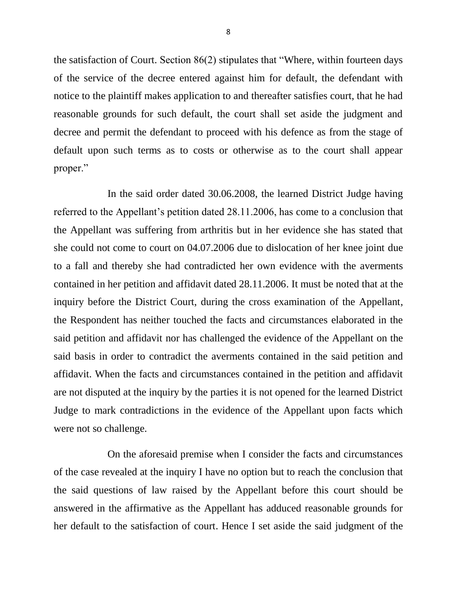the satisfaction of Court. Section 86(2) stipulates that "Where, within fourteen days of the service of the decree entered against him for default, the defendant with notice to the plaintiff makes application to and thereafter satisfies court, that he had reasonable grounds for such default, the court shall set aside the judgment and decree and permit the defendant to proceed with his defence as from the stage of default upon such terms as to costs or otherwise as to the court shall appear proper."

In the said order dated 30.06.2008, the learned District Judge having referred to the Appellant's petition dated 28.11.2006, has come to a conclusion that the Appellant was suffering from arthritis but in her evidence she has stated that she could not come to court on 04.07.2006 due to dislocation of her knee joint due to a fall and thereby she had contradicted her own evidence with the averments contained in her petition and affidavit dated 28.11.2006. It must be noted that at the inquiry before the District Court, during the cross examination of the Appellant, the Respondent has neither touched the facts and circumstances elaborated in the said petition and affidavit nor has challenged the evidence of the Appellant on the said basis in order to contradict the averments contained in the said petition and affidavit. When the facts and circumstances contained in the petition and affidavit are not disputed at the inquiry by the parties it is not opened for the learned District Judge to mark contradictions in the evidence of the Appellant upon facts which were not so challenge.

On the aforesaid premise when I consider the facts and circumstances of the case revealed at the inquiry I have no option but to reach the conclusion that the said questions of law raised by the Appellant before this court should be answered in the affirmative as the Appellant has adduced reasonable grounds for her default to the satisfaction of court. Hence I set aside the said judgment of the